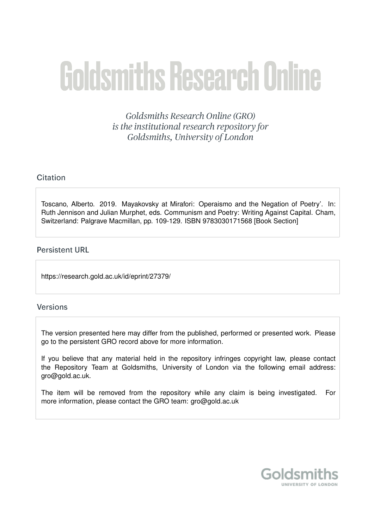# **Goldsmiths Research Online**

Goldsmiths Research Online (GRO) is the institutional research repository for Goldsmiths, University of London

## Citation

Toscano, Alberto. 2019. Mayakovsky at Mirafori: Operaismo and the Negation of Poetry'. In: Ruth Jennison and Julian Murphet, eds. Communism and Poetry: Writing Against Capital. Cham, Switzerland: Palgrave Macmillan, pp. 109-129. ISBN 9783030171568 [Book Section]

## **Persistent URL**

https://research.gold.ac.uk/id/eprint/27379/

#### **Versions**

The version presented here may differ from the published, performed or presented work. Please go to the persistent GRO record above for more information.

If you believe that any material held in the repository infringes copyright law, please contact the Repository Team at Goldsmiths, University of London via the following email address: gro@gold.ac.uk.

The item will be removed from the repository while any claim is being investigated. For more information, please contact the GRO team: gro@gold.ac.uk

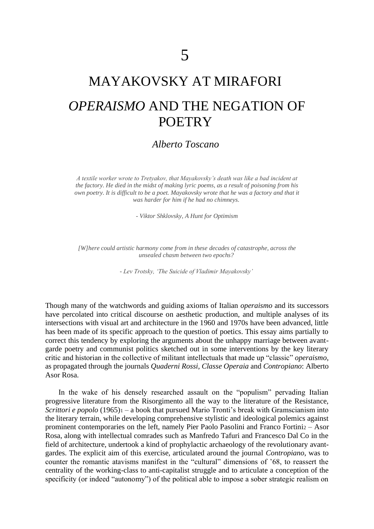# MAYAKOVSKY AT MIRAFORI *OPERAISMO* AND THE NEGATION OF **POETRY**

# *Alberto Toscano*

*A textile worker wrote to Tretyakov, that Mayakovsky's death was like a bad incident at the factory. He died in the midst of making lyric poems, as a result of poisoning from his own poetry. It is difficult to be a poet. Mayakovsky wrote that he was a factory and that it was harder for him if he had no chimneys.*

*- Viktor Shklovsky, A Hunt for Optimism*

*[W]here could artistic harmony come from in these decades of catastrophe, across the unsealed chasm between two epochs?*

*- Lev Trotsky, 'The Suicide of Vladimir Mayakovsky'*

Though many of the watchwords and guiding axioms of Italian *operaismo* and its successors have percolated into critical discourse on aesthetic production, and multiple analyses of its intersections with visual art and architecture in the 1960 and 1970s have been advanced, little has been made of its specific approach to the question of poetics. This essay aims partially to correct this tendency by exploring the arguments about the unhappy marriage between avantgarde poetry and communist politics sketched out in some interventions by the key literary critic and historian in the collective of militant intellectuals that made up "classic" *operaismo*, as propagated through the journals *Quaderni Rossi, Classe Operaia* and *Contropiano*: Alberto Asor Rosa.

In the wake of his densely researched assault on the "populism" pervading Italian progressive literature from the Risorgimento all the way to the literature of the Resistance, *Scrittori e popolo* (1965)<sub>1</sub> – a book that pursued Mario Tronti's break with Gramscianism into the literary terrain, while developing comprehensive stylistic and ideological polemics against prominent contemporaries on the left, namely Pier Paolo Pasolini and Franco Fortini<sup>2</sup> – Asor Rosa, along with intellectual comrades such as Manfredo Tafuri and Francesco Dal Co in the field of architecture, undertook a kind of prophylactic archaeology of the revolutionary avantgardes. The explicit aim of this exercise, articulated around the journal *Contropiano*, was to counter the romantic atavisms manifest in the "cultural" dimensions of '68, to reassert the centrality of the working-class to anti-capitalist struggle and to articulate a conception of the specificity (or indeed "autonomy") of the political able to impose a sober strategic realism on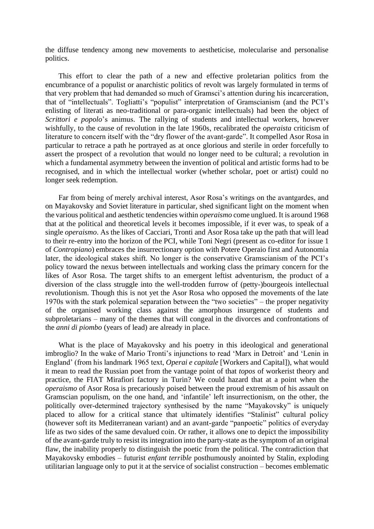the diffuse tendency among new movements to aestheticise, molecularise and personalise politics.

This effort to clear the path of a new and effective proletarian politics from the encumbrance of a populist or anarchistic politics of revolt was largely formulated in terms of that very problem that had demanded so much of Gramsci's attention during his incarceration, that of "intellectuals". Togliatti's "populist" interpretation of Gramscianism (and the PCI's enlisting of literati as neo-traditional or para-organic intellectuals) had been the object of *Scrittori e popolo*'s animus. The rallying of students and intellectual workers, however wishfully, to the cause of revolution in the late 1960s, recalibrated the *operaista* criticism of literature to concern itself with the "dry flower of the avant-garde". It compelled Asor Rosa in particular to retrace a path he portrayed as at once glorious and sterile in order forcefully to assert the prospect of a revolution that would no longer need to be cultural; a revolution in which a fundamental asymmetry between the invention of political and artistic forms had to be recognised, and in which the intellectual worker (whether scholar, poet or artist) could no longer seek redemption.

Far from being of merely archival interest, Asor Rosa's writings on the avantgardes, and on Mayakovsky and Soviet literature in particular, shed significant light on the moment when the various political and aesthetic tendencies within *operaismo* come unglued. It is around 1968 that at the political and theoretical levels it becomes impossible, if it ever was, to speak of a single *operaismo*. As the likes of Cacciari, Tronti and Asor Rosa take up the path that will lead to their re-entry into the horizon of the PCI, while Toni Negri (present as co-editor for issue 1 of *Contropiano*) embraces the insurrectionary option with Potere Operaio first and Autonomia later, the ideological stakes shift. No longer is the conservative Gramscianism of the PCI's policy toward the nexus between intellectuals and working class the primary concern for the likes of Asor Rosa. The target shifts to an emergent leftist adventurism, the product of a diversion of the class struggle into the well-trodden furrow of (petty-)bourgeois intellectual revolutionism. Though this is not yet the Asor Rosa who opposed the movements of the late 1970s with the stark polemical separation between the "two societies" – the proper negativity of the organised working class against the amorphous insurgence of students and subproletarians – many of the themes that will congeal in the divorces and confrontations of the *anni di piombo* (years of lead) are already in place.

What is the place of Mayakovsky and his poetry in this ideological and generational imbroglio? In the wake of Mario Tronti's injunctions to read 'Marx in Detroit' and 'Lenin in England' (from his landmark 1965 text, *Operai e capitale* [Workers and Capital]), what would it mean to read the Russian poet from the vantage point of that *topos* of workerist theory and practice, the FIAT Mirafiori factory in Turin? We could hazard that at a point when the *operaismo* of Asor Rosa is precariously poised between the proud extremism of his assault on Gramscian populism, on the one hand, and 'infantile' left insurrectionism, on the other, the politically over-determined trajectory synthesised by the name "Mayakovsky" is uniquely placed to allow for a critical stance that ultimately identifies "Stalinist" cultural policy (however soft its Mediterranean variant) and an avant-garde "panpoetic" politics of everyday life as two sides of the same devalued coin. Or rather, it allows one to depict the impossibility of the avant-garde truly to resist its integration into the party-state as the symptom of an original flaw, the inability properly to distinguish the poetic from the political. The contradiction that Mayakovsky embodies – futurist *enfant terrible* posthumously anointed by Stalin, exploding utilitarian language only to put it at the service of socialist construction – becomes emblematic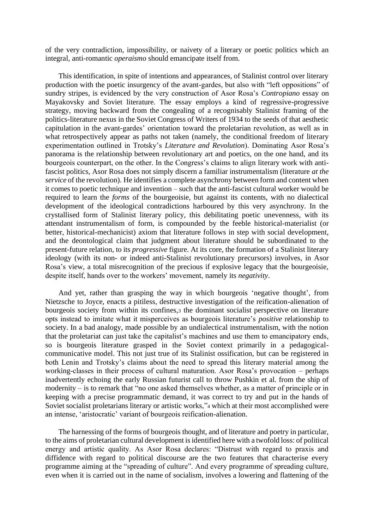of the very contradiction, impossibility, or naivety of a literary or poetic politics which an integral, anti-romantic *operaismo* should emancipate itself from.

This identification, in spite of intentions and appearances, of Stalinist control over literary production with the poetic insurgency of the avant-gardes, but also with "left oppositions" of sundry stripes, is evidenced by the very construction of Asor Rosa's *Contropiano* essay on Mayakovsky and Soviet literature. The essay employs a kind of regressive-progressive strategy, moving backward from the congealing of a recognisably Stalinist framing of the politics-literature nexus in the Soviet Congress of Writers of 1934 to the seeds of that aesthetic capitulation in the avant-gardes' orientation toward the proletarian revolution, as well as in what retrospectively appear as paths not taken (namely, the conditional freedom of literary experimentation outlined in Trotsky's *Literature and Revolution*). Dominating Asor Rosa's panorama is the relationship between revolutionary art and poetics, on the one hand, and its bourgeois counterpart, on the other. In the Congress's claims to align literary work with antifascist politics, Asor Rosa does not simply discern a familiar instrumentalism (literature *at the service* of the revolution). He identifies a complete asynchrony between form and content when it comes to poetic technique and invention – such that the anti-fascist cultural worker would be required to learn the *forms* of the bourgeoisie, but against its contents, with no dialectical development of the ideological contradictions harboured by this very asynchrony. In the crystallised form of Stalinist literary policy, this debilitating poetic unevenness, with its attendant instrumentalism of form, is compounded by the feeble historical-materialist (or better, historical-mechanicist) axiom that literature follows in step with social development, and the deontological claim that judgment about literature should be subordinated to the present-future relation, to its *progressive* figure. At its core, the formation of a Stalinist literary ideology (with its non- or indeed anti-Stalinist revolutionary precursors) involves, in Asor Rosa's view, a total misrecognition of the precious if explosive legacy that the bourgeoisie, despite itself, hands over to the workers' movement, namely its *negativity*.

And yet, rather than grasping the way in which bourgeois 'negative thought', from Nietzsche to Joyce, enacts a pitiless, destructive investigation of the reification-alienation of bourgeois society from within its confines,<sup>3</sup> the dominant socialist perspective on literature opts instead to imitate what it misperceives as bourgeois literature's *positive* relationship to society. In a bad analogy, made possible by an undialectical instrumentalism, with the notion that the proletariat can just take the capitalist's machines and use them to emancipatory ends, so is bourgeois literature grasped in the Soviet context primarily in a pedagogicalcommunicative model. This not just true of its Stalinist ossification, but can be registered in both Lenin and Trotsky's claims about the need to spread this literary material among the working-classes in their process of cultural maturation. Asor Rosa's provocation – perhaps inadvertently echoing the early Russian futurist call to throw Pushkin et al. from the ship of modernity – is to remark that "no one asked themselves whether, as a matter of principle or in keeping with a precise programmatic demand, it was correct to try and put in the hands of Soviet socialist proletarians literary or artistic works,"<sup>4</sup> which at their most accomplished were an intense, 'aristocratic' variant of bourgeois reification-alienation.

The harnessing of the forms of bourgeois thought, and of literature and poetry in particular, to the aims of proletarian cultural development is identified here with a twofold loss: of political energy and artistic quality. As Asor Rosa declares: "Distrust with regard to praxis and diffidence with regard to political discourse are the two features that characterise every programme aiming at the "spreading of culture". And every programme of spreading culture, even when it is carried out in the name of socialism, involves a lowering and flattening of the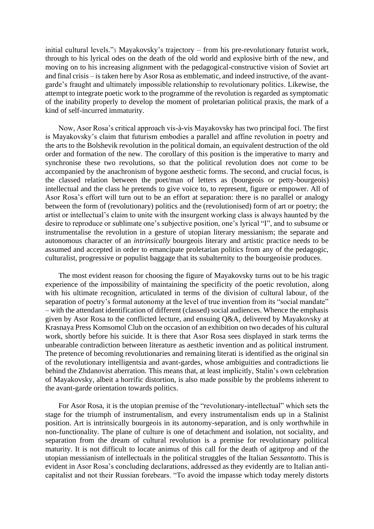initial cultural levels."<sup>5</sup> Mayakovsky's trajectory – from his pre-revolutionary futurist work, through to his lyrical odes on the death of the old world and explosive birth of the new, and moving on to his increasing alignment with the pedagogical-constructive vision of Soviet art and final crisis – is taken here by Asor Rosa as emblematic, and indeed instructive, of the avantgarde's fraught and ultimately impossible relationship to revolutionary politics. Likewise, the attempt to integrate poetic work to the programme of the revolution is regarded as symptomatic of the inability properly to develop the moment of proletarian political praxis, the mark of a kind of self-incurred immaturity.

Now, Asor Rosa's critical approach vis-à-vis Mayakovsky has two principal foci. The first is Mayakovsky's claim that futurism embodies a parallel and affine revolution in poetry and the arts to the Bolshevik revolution in the political domain, an equivalent destruction of the old order and formation of the new. The corollary of this position is the imperative to marry and synchronise these two revolutions, so that the political revolution does not come to be accompanied by the anachronism of bygone aesthetic forms. The second, and crucial focus, is the classed relation between the poet/man of letters as (bourgeois or petty-bourgeois) intellectual and the class he pretends to give voice to, to represent, figure or empower. All of Asor Rosa's effort will turn out to be an effort at separation: there is no parallel or analogy between the form of (revolutionary) politics and the (revolutionised) form of art or poetry; the artist or intellectual's claim to unite with the insurgent working class is always haunted by the desire to reproduce or sublimate one's subjective position, one's lyrical "I", and to subsume or instrumentalise the revolution in a gesture of utopian literary messianism; the separate and autonomous character of an *intrinsically* bourgeois literary and artistic practice needs to be assumed and accepted in order to emancipate proletarian politics from any of the pedagogic, culturalist, progressive or populist baggage that its subalternity to the bourgeoisie produces.

The most evident reason for choosing the figure of Mayakovsky turns out to be his tragic experience of the impossibility of maintaining the specificity of the poetic revolution, along with his ultimate recognition, articulated in terms of the division of cultural labour, of the separation of poetry's formal autonomy at the level of true invention from its "social mandate" – with the attendant identification of different (classed) social audiences. Whence the emphasis given by Asor Rosa to the conflicted lecture, and ensuing Q&A, delivered by Mayakovsky at Krasnaya Press Komsomol Club on the occasion of an exhibition on two decades of his cultural work, shortly before his suicide. It is there that Asor Rosa sees displayed in stark terms the unbearable contradiction between literature as aesthetic invention and as political instrument. The pretence of becoming revolutionaries and remaining literati is identified as the original sin of the revolutionary intelligentsia and avant-gardes, whose ambiguities and contradictions lie behind the Zhdanovist aberration. This means that, at least implicitly, Stalin's own celebration of Mayakovsky, albeit a horrific distortion, is also made possible by the problems inherent to the avant-garde orientation towards politics.

For Asor Rosa, it is the utopian premise of the "revolutionary-intellectual" which sets the stage for the triumph of instrumentalism, and every instrumentalism ends up in a Stalinist position. Art is intrinsically bourgeois in its autonomy-separation, and is only worthwhile in non-functionality. The plane of culture is one of detachment and isolation, not sociality, and separation from the dream of cultural revolution is a premise for revolutionary political maturity. It is not difficult to locate animus of this call for the death of agitprop and of the utopian messianism of intellectuals in the political struggles of the Italian *Sessantotto*. This is evident in Asor Rosa's concluding declarations, addressed as they evidently are to Italian anticapitalist and not their Russian forebears. "To avoid the impasse which today merely distorts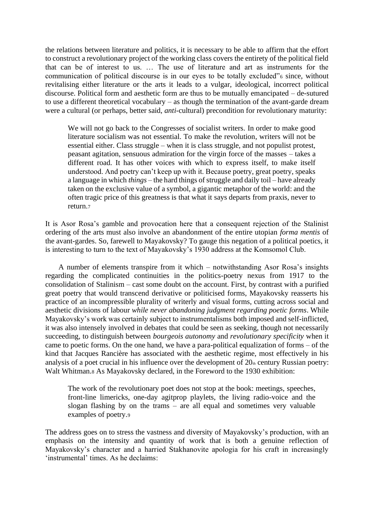the relations between literature and politics, it is necessary to be able to affirm that the effort to construct a revolutionary project of the working class covers the entirety of the political field that can be of interest to us. … The use of literature and art as instruments for the communication of political discourse is in our eyes to be totally excluded"<sup>6</sup> since, without revitalising either literature or the arts it leads to a vulgar, ideological, incorrect political discourse. Political form and aesthetic form are thus to be mutually emancipated – de-sutured to use a different theoretical vocabulary – as though the termination of the avant-garde dream were a cultural (or perhaps, better said, *anti-*cultural) precondition for revolutionary maturity:

We will not go back to the Congresses of socialist writers. In order to make good literature socialism was not essential. To make the revolution, writers will not be essential either. Class struggle – when it is class struggle, and not populist protest, peasant agitation, sensuous admiration for the virgin force of the masses – takes a different road. It has other voices with which to express itself, to make itself understood. And poetry can't keep up with it. Because poetry, great poetry, speaks a language in which *things* – the hard things of struggle and daily toil – have already taken on the exclusive value of a symbol, a gigantic metaphor of the world: and the often tragic price of this greatness is that what it says departs from praxis, never to return.<sup>7</sup>

It is Asor Rosa's gamble and provocation here that a consequent rejection of the Stalinist ordering of the arts must also involve an abandonment of the entire utopian *forma mentis* of the avant-gardes. So, farewell to Mayakovsky? To gauge this negation of a political poetics, it is interesting to turn to the text of Mayakovsky's 1930 address at the Komsomol Club.

A number of elements transpire from it which – notwithstanding Asor Rosa's insights regarding the complicated continuities in the politics-poetry nexus from 1917 to the consolidation of Stalinism – cast some doubt on the account. First, by contrast with a purified great poetry that would transcend derivative or politicised forms, Mayakovsky reasserts his practice of an incompressible plurality of writerly and visual forms, cutting across social and aesthetic divisions of labour *while never abandoning judgment regarding poetic forms*. While Mayakovsky's work was certainly subject to instrumentalisms both imposed and self-inflicted, it was also intensely involved in debates that could be seen as seeking, though not necessarily succeeding, to distinguish between *bourgeois autonomy* and *revolutionary specificity* when it came to poetic forms. On the one hand, we have a para-political equalization of forms – of the kind that Jacques Rancière has associated with the aesthetic regime, most effectively in his analysis of a poet crucial in his influence over the development of  $20<sub>th</sub>$  century Russian poetry: Walt Whitman.<sup>8</sup> As Mayakovsky declared, in the Foreword to the 1930 exhibition:

The work of the revolutionary poet does not stop at the book: meetings, speeches, front-line limericks, one-day agitprop playlets, the living radio-voice and the slogan flashing by on the trams – are all equal and sometimes very valuable examples of poetry.<sup>9</sup>

The address goes on to stress the vastness and diversity of Mayakovsky's production, with an emphasis on the intensity and quantity of work that is both a genuine reflection of Mayakovsky's character and a harried Stakhanovite apologia for his craft in increasingly 'instrumental' times. As he declaims: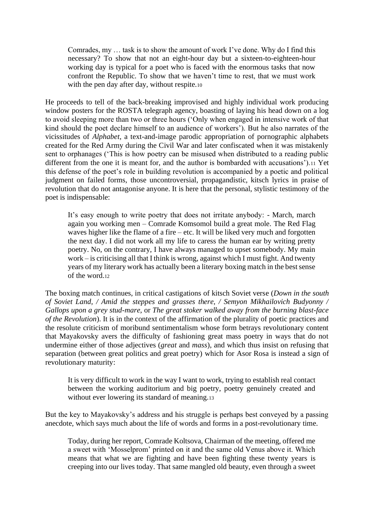Comrades, my … task is to show the amount of work I've done. Why do I find this necessary? To show that not an eight-hour day but a sixteen-to-eighteen-hour working day is typical for a poet who is faced with the enormous tasks that now confront the Republic. To show that we haven't time to rest, that we must work with the pen day after day, without respite.10

He proceeds to tell of the back-breaking improvised and highly individual work producing window posters for the ROSTA telegraph agency, boasting of laying his head down on a log to avoid sleeping more than two or three hours ('Only when engaged in intensive work of that kind should the poet declare himself to an audience of workers'). But he also narrates of the vicissitudes of *Alphabet*, a text-and-image parodic appropriation of pornographic alphabets created for the Red Army during the Civil War and later confiscated when it was mistakenly sent to orphanages ('This is how poetry can be misused when distributed to a reading public different from the one it is meant for, and the author is bombarded with accusations').<sup>11</sup> Yet this defense of the poet's role in building revolution is accompanied by a poetic and political judgment on failed forms, those uncontroversial, propagandistic, kitsch lyrics in praise of revolution that do not antagonise anyone. It is here that the personal, stylistic testimony of the poet is indispensable:

It's easy enough to write poetry that does not irritate anybody: - March, march again you working men – Comrade Komsomol build a great mole. The Red Flag waves higher like the flame of a fire – etc. It will be liked very much and forgotten the next day. I did not work all my life to caress the human ear by writing pretty poetry. No, on the contrary, I have always managed to upset somebody. My main work – is criticising all that I think is wrong, against which I must fight. And twenty years of my literary work has actually been a literary boxing match in the best sense of the word.<sup>12</sup>

The boxing match continues, in critical castigations of kitsch Soviet verse (*Down in the south of Soviet Land, / Amid the steppes and grasses there, / Semyon Mikhailovich Budyonny / Gallops upon a grey stud-mare*, or *The great stoker walked away from the burning blast-face of the Revolution*). It is in the context of the affirmation of the plurality of poetic practices and the resolute criticism of moribund sentimentalism whose form betrays revolutionary content that Mayakovsky avers the difficulty of fashioning great mass poetry in ways that do not undermine either of those adjectives (*great* and *mass*), and which thus insist on refusing that separation (between great politics and great poetry) which for Asor Rosa is instead a sign of revolutionary maturity:

It is very difficult to work in the way I want to work, trying to establish real contact between the working auditorium and big poetry, poetry genuinely created and without ever lowering its standard of meaning.<sup>13</sup>

But the key to Mayakovsky's address and his struggle is perhaps best conveyed by a passing anecdote, which says much about the life of words and forms in a post-revolutionary time.

Today, during her report, Comrade Koltsova, Chairman of the meeting, offered me a sweet with 'Mosselprom' printed on it and the same old Venus above it. Which means that what we are fighting and have been fighting these twenty years is creeping into our lives today. That same mangled old beauty, even through a sweet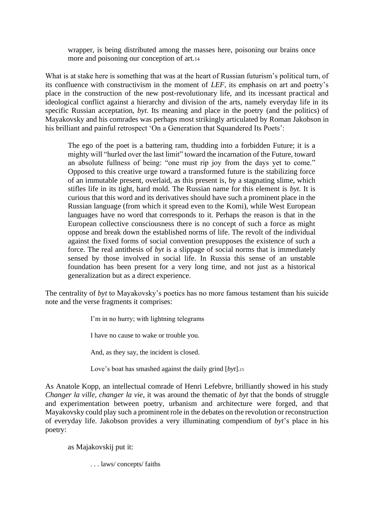wrapper, is being distributed among the masses here, poisoning our brains once more and poisoning our conception of art.<sup>14</sup>

What is at stake here is something that was at the heart of Russian futurism's political turn, of its confluence with constructivism in the moment of *LEF*, its emphasis on art and poetry's place in the construction of the new post-revolutionary life, and its incessant practical and ideological conflict against a hierarchy and division of the arts, namely everyday life in its specific Russian acceptation, *byt*. Its meaning and place in the poetry (and the politics) of Mayakovsky and his comrades was perhaps most strikingly articulated by Roman Jakobson in his brilliant and painful retrospect 'On a Generation that Squandered Its Poets':

The ego of the poet is a battering ram, thudding into a forbidden Future; it is a mighty will "hurled over the last limit" toward the incarnation of the Future, toward an absolute fullness of being: "one must rip joy from the days yet to come." Opposed to this creative urge toward a transformed future is the stabilizing force of an immutable present, overlaid, as this present is, by a stagnating slime, which stifles life in its tight, hard mold. The Russian name for this element is *byt*. It is curious that this word and its derivatives should have such a prominent place in the Russian language (from which it spread even to the Komi), while West European languages have no word that corresponds to it. Perhaps the reason is that in the European collective consciousness there is no concept of such a force as might oppose and break down the established norms of life. The revolt of the individual against the fixed forms of social convention presupposes the existence of such a force. The real antithesis of *byt* is a slippage of social norms that is immediately sensed by those involved in social life. In Russia this sense of an unstable foundation has been present for a very long time, and not just as a historical generalization but as a direct experience.

The centrality of *byt* to Mayakovsky's poetics has no more famous testament than his suicide note and the verse fragments it comprises:

I'm in no hurry; with lightning telegrams

I have no cause to wake or trouble you.

And, as they say, the incident is closed.

Love's boat has smashed against the daily grind [*byt*].<sup>15</sup>

As Anatole Kopp, an intellectual comrade of Henri Lefebvre, brilliantly showed in his study *Changer la ville, changer la vie*, it was around the thematic of *byt* that the bonds of struggle and experimentation between poetry, urbanism and architecture were forged, and that Mayakovsky could play such a prominent role in the debates on the revolution or reconstruction of everyday life. Jakobson provides a very illuminating compendium of *byt*'s place in his poetry:

as Majakovskij put it:

. . . laws/ concepts/ faiths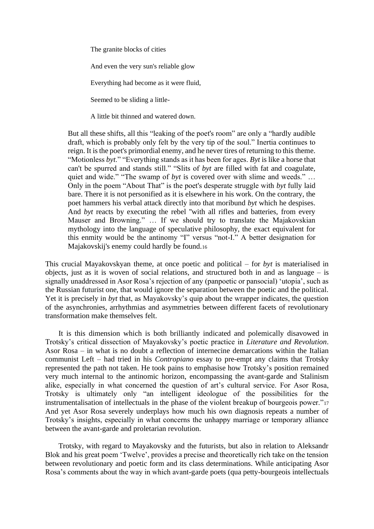The granite blocks of cities

And even the very sun's reliable glow

Everything had become as it were fluid,

Seemed to be sliding a little-

A little bit thinned and watered down.

But all these shifts, all this "leaking of the poet's room" are only a "hardly audible draft, which is probably only felt by the very tip of the soul." Inertia continues to reign. It is the poet's primordial enemy, and he never tires of returning to this theme. "Motionless *byt*." "Everything stands as it has been for ages. *Byt* is like a horse that can't be spurred and stands still." "Slits of *byt* are filled with fat and coagulate, quiet and wide." "The swamp of *byt* is covered over with slime and weeds." ... Only in the poem "About That" is the poet's desperate struggle with *byt* fully laid bare. There it is not personified as it is elsewhere in his work. On the contrary, the poet hammers his verbal attack directly into that moribund *byt* which he despises. And *byt* reacts by executing the rebel ''with all rifles and batteries, from every Mauser and Browning." … If we should try to translate the Majakovskian mythology into the language of speculative philosophy, the exact equivalent for this enmity would be the antinomy "I" versus "not-I." A better designation for Majakovskij's enemy could hardly be found.<sup>16</sup>

This crucial Mayakovskyan theme, at once poetic and political – for *byt* is materialised in objects, just as it is woven of social relations, and structured both in and as language  $-$  is signally unaddressed in Asor Rosa's rejection of any (panpoetic or pansocial) 'utopia', such as the Russian futurist one, that would ignore the separation between the poetic and the political. Yet it is precisely in *byt* that, as Mayakovsky's quip about the wrapper indicates, the question of the asynchronies, arrhythmias and asymmetries between different facets of revolutionary transformation make themselves felt.

It is this dimension which is both brilliantly indicated and polemically disavowed in Trotsky's critical dissection of Mayakovsky's poetic practice in *Literature and Revolution*. Asor Rosa – in what is no doubt a reflection of internecine demarcations within the Italian communist Left – had tried in his *Contropiano* essay to pre-empt any claims that Trotsky represented the path not taken. He took pains to emphasise how Trotsky's position remained very much internal to the antinomic horizon, encompassing the avant-garde and Stalinism alike, especially in what concerned the question of art's cultural service. For Asor Rosa, Trotsky is ultimately only "an intelligent ideologue of the possibilities for the instrumentalisation of intellectuals in the phase of the violent breakup of bourgeois power."<sup>17</sup> And yet Asor Rosa severely underplays how much his own diagnosis repeats a number of Trotsky's insights, especially in what concerns the unhappy marriage or temporary alliance between the avant-garde and proletarian revolution.

Trotsky, with regard to Mayakovsky and the futurists, but also in relation to Aleksandr Blok and his great poem 'Twelve', provides a precise and theoretically rich take on the tension between revolutionary and poetic form and its class determinations. While anticipating Asor Rosa's comments about the way in which avant-garde poets (qua petty-bourgeois intellectuals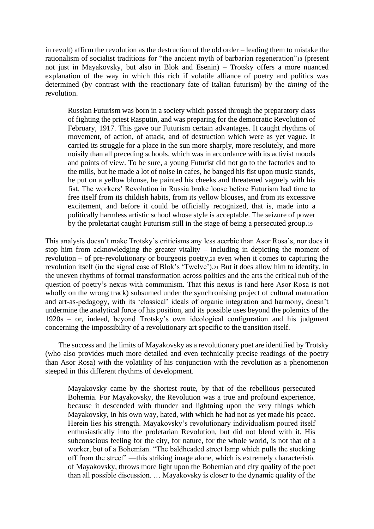in revolt) affirm the revolution as the destruction of the old order – leading them to mistake the rationalism of socialist traditions for "the ancient myth of barbarian regeneration"<sup>18</sup> (present not just in Mayakovsky, but also in Blok and Esenin) – Trotsky offers a more nuanced explanation of the way in which this rich if volatile alliance of poetry and politics was determined (by contrast with the reactionary fate of Italian futurism) by the *timing* of the revolution.

Russian Futurism was born in a society which passed through the preparatory class of fighting the priest Rasputin, and was preparing for the democratic Revolution of February, 1917. This gave our Futurism certain advantages. It caught rhythms of movement, of action, of attack, and of destruction which were as yet vague. It carried its struggle for a place in the sun more sharply, more resolutely, and more noisily than all preceding schools, which was in accordance with its activist moods and points of view. To be sure, a young Futurist did not go to the factories and to the mills, but he made a lot of noise in cafes, he banged his fist upon music stands, he put on a yellow blouse, he painted his cheeks and threatened vaguely with his fist. The workers' Revolution in Russia broke loose before Futurism had time to free itself from its childish habits, from its yellow blouses, and from its excessive excitement, and before it could be officially recognized, that is, made into a politically harmless artistic school whose style is acceptable. The seizure of power by the proletariat caught Futurism still in the stage of being a persecuted group.<sup>19</sup>

This analysis doesn't make Trotsky's criticisms any less acerbic than Asor Rosa's, nor does it stop him from acknowledging the greater vitality – including in depicting the moment of revolution – of pre-revolutionary or bourgeois poetry,<sup>20</sup> even when it comes to capturing the revolution itself (in the signal case of Blok's 'Twelve').<sup>21</sup> But it does allow him to identify, in the uneven rhythms of formal transformation across politics and the arts the critical nub of the question of poetry's nexus with communism. That this nexus is (and here Asor Rosa is not wholly on the wrong track) subsumed under the synchronising project of cultural maturation and art-as-pedagogy, with its 'classical' ideals of organic integration and harmony, doesn't undermine the analytical force of his position, and its possible uses beyond the polemics of the 1920s – or, indeed, beyond Trotsky's own ideological configuration and his judgment concerning the impossibility of a revolutionary art specific to the transition itself.

The success and the limits of Mayakovsky as a revolutionary poet are identified by Trotsky (who also provides much more detailed and even technically precise readings of the poetry than Asor Rosa) with the volatility of his conjunction with the revolution as a phenomenon steeped in this different rhythms of development.

Mayakovsky came by the shortest route, by that of the rebellious persecuted Bohemia. For Mayakovsky, the Revolution was a true and profound experience, because it descended with thunder and lightning upon the very things which Mayakovsky, in his own way, hated, with which he had not as yet made his peace. Herein lies his strength. Mayakovsky's revolutionary individualism poured itself enthusiastically into the proletarian Revolution, but did not blend with it. His subconscious feeling for the city, for nature, for the whole world, is not that of a worker, but of a Bohemian. "The baldheaded street lamp which pulls the stocking off from the street" —this striking image alone, which is extremely characteristic of Mayakovsky, throws more light upon the Bohemian and city quality of the poet than all possible discussion. … Mayakovsky is closer to the dynamic quality of the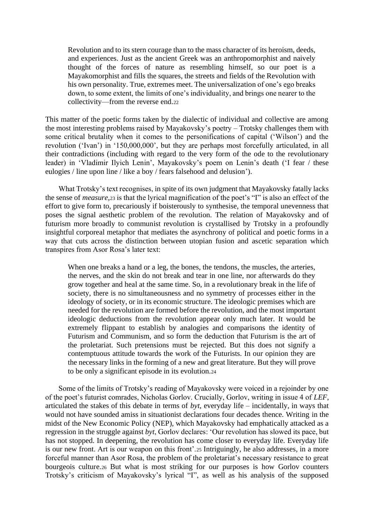Revolution and to its stern courage than to the mass character of its heroism, deeds, and experiences. Just as the ancient Greek was an anthropomorphist and naively thought of the forces of nature as resembling himself, so our poet is a Mayakomorphist and fills the squares, the streets and fields of the Revolution with his own personality. True, extremes meet. The universalization of one's ego breaks down, to some extent, the limits of one's individuality, and brings one nearer to the collectivity—from the reverse end.<sup>22</sup>

This matter of the poetic forms taken by the dialectic of individual and collective are among the most interesting problems raised by Mayakovsky's poetry – Trotsky challenges them with some critical brutality when it comes to the personifications of capital ('Wilson') and the revolution ('Ivan') in '150,000,000', but they are perhaps most forcefully articulated, in all their contradictions (including with regard to the very form of the ode to the revolutionary leader) in 'Vladimir Ilyich Lenin', Mayakovsky's poem on Lenin's death ('I fear / these eulogies / line upon line / like a boy / fears falsehood and delusion').

What Trotsky's text recognises, in spite of its own judgment that Mayakovsky fatally lacks the sense of *measure*,<sup>23</sup> is that the lyrical magnification of the poet's "I" is also an effect of the effort to give form to, precariously if boisterously to synthesise, the temporal unevenness that poses the signal aesthetic problem of the revolution. The relation of Mayakovsky and of futurism more broadly to communist revolution is crystallised by Trotsky in a profoundly insightful corporeal metaphor that mediates the asynchrony of political and poetic forms in a way that cuts across the distinction between utopian fusion and ascetic separation which transpires from Asor Rosa's later text:

When one breaks a hand or a leg, the bones, the tendons, the muscles, the arteries, the nerves, and the skin do not break and tear in one line, nor afterwards do they grow together and heal at the same time. So, in a revolutionary break in the life of society, there is no simultaneousness and no symmetry of processes either in the ideology of society, or in its economic structure. The ideologic premises which are needed for the revolution are formed before the revolution, and the most important ideologic deductions from the revolution appear only much later. It would be extremely flippant to establish by analogies and comparisons the identity of Futurism and Communism, and so form the deduction that Futurism is the art of the proletariat. Such pretensions must be rejected. But this does not signify a contemptuous attitude towards the work of the Futurists. In our opinion they are the necessary links in the forming of a new and great literature. But they will prove to be only a significant episode in its evolution.<sup>24</sup>

Some of the limits of Trotsky's reading of Mayakovsky were voiced in a rejoinder by one of the poet's futurist comrades, Nicholas Gorlov. Crucially, Gorlov, writing in issue 4 of *LEF*, articulated the stakes of this debate in terms of *byt*, everyday life – incidentally, in ways that would not have sounded amiss in situationist declarations four decades thence. Writing in the midst of the New Economic Policy (NEP), which Mayakovsky had emphatically attacked as a regression in the struggle against *byt*, Gorlov declares: 'Our revolution has slowed its pace, but has not stopped. In deepening, the revolution has come closer to everyday life. Everyday life is our new front. Art is our weapon on this front'.<sup>25</sup> Intriguingly, he also addresses, in a more forceful manner than Asor Rosa, the problem of the proletariat's necessary resistance to great bourgeois culture.<sup>26</sup> But what is most striking for our purposes is how Gorlov counters Trotsky's criticism of Mayakovsky's lyrical "I", as well as his analysis of the supposed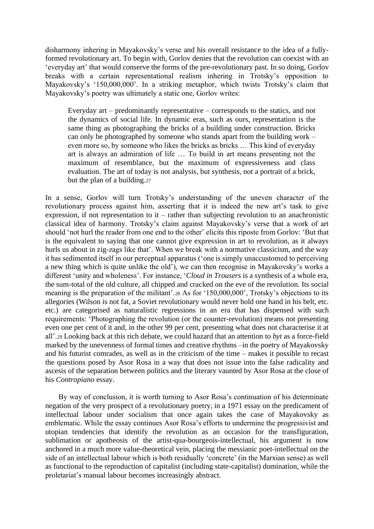disharmony inhering in Mayakovsky's verse and his overall resistance to the idea of a fullyformed revolutionary art. To begin with, Gorlov denies that the revolution can coexist with an 'everyday art' that would conserve the forms of the pre-revolutionary past. In so doing, Gorlov breaks with a certain representational realism inhering in Trotsky's opposition to Mayakovsky's '150,000,000'. In a striking metaphor, which twists Trotsky's claim that Mayakovsky's poetry was ultimately a static one, Gorlov writes:

Everyday art – predominantly representative – corresponds to the statics, and not the dynamics of social life. In dynamic eras, such as ours, representation is the same thing as photographing the bricks of a building under construction. Bricks can only be photographed by someone who stands apart from the building work – even more so, by someone who likes the bricks as bricks … This kind of everyday art is always an admiration of life … To build in art means presenting not the maximum of resemblance, but the maximum of expressiveness and class evaluation. The art of today is not analysis, but synthesis, not a portrait of a brick, but the plan of a building.<sup>27</sup>

In a sense, Gorlov will turn Trotsky's understanding of the uneven character of the revolutionary process against him, asserting that it is indeed the new art's task to give expression, if not representation to it – rather than subjecting revolution to an anachronistic classical idea of harmony. Trotsky's claim against Mayakovsky's verse that a work of art should 'not hurl the reader from one end to the other' elicits this riposte from Gorlov: 'But that is the equivalent to saying that one cannot give expression in art to revolution, as it always hurls us about in zig-zags like that'. When we break with a normative classicism, and the way it has sedimented itself in our perceptual apparatus ('one is simply unaccustomed to perceiving a new thing which is quite unlike the old'), we can then recognise in Mayakovsky's works a different 'unity and wholeness'. For instance, '*Cloud in Trousers* is a synthesis of a whole era, the sum-total of the old culture, all chipped and cracked on the eve of the revolution. Its social meaning is the preparation of the militant'.<sup>28</sup> As for '150,000,000', Trotsky's objections to its allegories (Wilson is not fat, a Soviet revolutionary would never hold one hand in his belt, etc. etc.) are categorised as naturalistic regressions in an era that has dispensed with such requirements: 'Photographing the revolution (or the counter-revolution) means not presenting even one per cent of it and, in the other 99 per cent, presenting what does not characterise it at all'.<sup>29</sup> Looking back at this rich debate, we could hazard that an attention to *byt* as a force-field marked by the unevenness of formal times and creative rhythms –in the poetry of Mayakovsky and his futurist comrades, as well as in the criticism of the time – makes it possible to recast the questions posed by Asor Rosa in a way that does not issue into the false radicality and ascesis of the separation between politics and the literary vaunted by Asor Rosa at the close of his *Contropiano* essay.

By way of conclusion, it is worth turning to Asor Rosa's continuation of his determinate negation of the very prospect of a revolutionary poetry, in a 1971 essay on the predicament of intellectual labour under socialism that once again takes the case of Mayakovsky as emblematic. While the essay continues Asor Rosa's efforts to undermine the progressivist and utopian tendencies that identify the revolution as an occasion for the transfiguration, sublimation or apotheosis of the artist-qua-bourgeois-intellectual, his argument is now anchored in a much more value-theoretical vein, placing the messianic poet-intellectual on the side of an intellectual labour which is both residually 'concrete' (in the Marxian sense) as well as functional to the reproduction of capitalist (including state-capitalist) domination, while the proletariat's manual labour becomes increasingly abstract.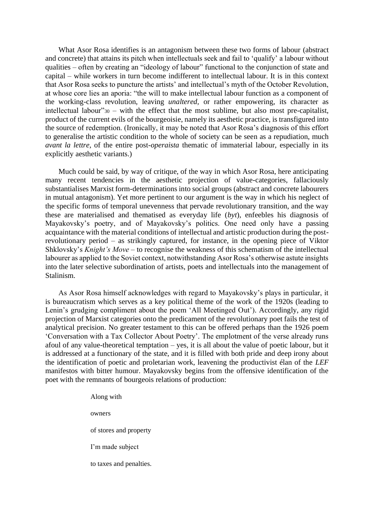What Asor Rosa identifies is an antagonism between these two forms of labour (abstract and concrete) that attains its pitch when intellectuals seek and fail to 'qualify' a labour without qualities – often by creating an "ideology of labour" functional to the conjunction of state and capital – while workers in turn become indifferent to intellectual labour. It is in this context that Asor Rosa seeks to puncture the artists' and intellectual's myth of the October Revolution, at whose core lies an aporia: "the will to make intellectual labour function as a component of the working-class revolution, leaving *unaltered,* or rather empowering, its character as intellectual labour"<sup>30</sup> – with the effect that the most sublime, but also most pre-capitalist, product of the current evils of the bourgeoisie, namely its aesthetic practice, is transfigured into the source of redemption. (Ironically, it may be noted that Asor Rosa's diagnosis of this effort to generalise the artistic condition to the whole of society can be seen as a repudiation, much *avant la lettre*, of the entire post-*operaista* thematic of immaterial labour, especially in its explicitly aesthetic variants.)

Much could be said, by way of critique, of the way in which Asor Rosa, here anticipating many recent tendencies in the aesthetic projection of value-categories, fallaciously substantialises Marxist form-determinations into social groups (abstract and concrete labourers in mutual antagonism). Yet more pertinent to our argument is the way in which his neglect of the specific forms of temporal unevenness that pervade revolutionary transition, and the way these are materialised and thematised as everyday life (*byt*), enfeebles his diagnosis of Mayakovsky's poetry, and of Mayakovsky's politics. One need only have a passing acquaintance with the material conditions of intellectual and artistic production during the postrevolutionary period – as strikingly captured, for instance, in the opening piece of Viktor Shklovsky's *Knight's Move* – to recognise the weakness of this schematism of the intellectual labourer as applied to the Soviet context, notwithstanding Asor Rosa's otherwise astute insights into the later selective subordination of artists, poets and intellectuals into the management of Stalinism.

As Asor Rosa himself acknowledges with regard to Mayakovsky's plays in particular, it is bureaucratism which serves as a key political theme of the work of the 1920s (leading to Lenin's grudging compliment about the poem 'All Meetinged Out'). Accordingly, any rigid projection of Marxist categories onto the predicament of the revolutionary poet fails the test of analytical precision. No greater testament to this can be offered perhaps than the 1926 poem 'Conversation with a Tax Collector About Poetry'. The emplotment of the verse already runs afoul of any value-theoretical temptation – yes, it is all about the value of poetic labour, but it is addressed at a functionary of the state, and it is filled with both pride and deep irony about the identification of poetic and proletarian work, leavening the productivist élan of the *LEF*  manifestos with bitter humour. Mayakovsky begins from the offensive identification of the poet with the remnants of bourgeois relations of production:

> Along with owners of stores and property I'm made subject to taxes and penalties.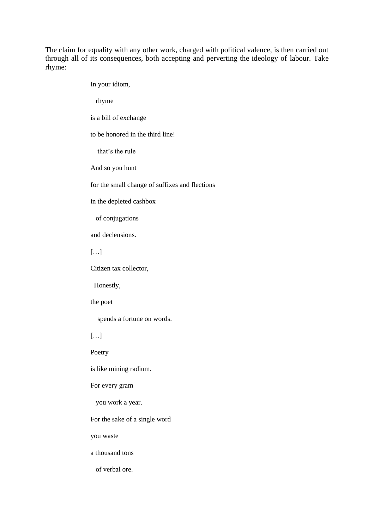The claim for equality with any other work, charged with political valence, is then carried out through all of its consequences, both accepting and perverting the ideology of labour. Take rhyme:

> In your idiom, rhyme is a bill of exchange to be honored in the third line! – that's the rule And so you hunt for the small change of suffixes and flections in the depleted cashbox of conjugations and declensions.  $\left[\ldots\right]$ Citizen tax collector, Honestly, the poet spends a fortune on words. […] Poetry is like mining radium. For every gram you work a year. For the sake of a single word you waste a thousand tons

of verbal ore.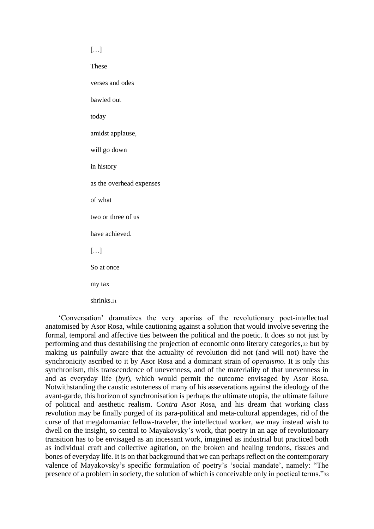$[\ldots]$ These verses and odes bawled out today amidst applause, will go down in history as the overhead expenses of what two or three of us have achieved.  $[...]$ So at once my tax shrinks.31

'Conversation' dramatizes the very aporias of the revolutionary poet-intellectual anatomised by Asor Rosa, while cautioning against a solution that would involve severing the formal, temporal and affective ties between the political and the poetic. It does so not just by performing and thus destabilising the projection of economic onto literary categories,<sup>32</sup> but by making us painfully aware that the actuality of revolution did not (and will not) have the synchronicity ascribed to it by Asor Rosa and a dominant strain of *operaismo*. It is only this synchronism, this transcendence of unevenness, and of the materiality of that unevenness in and as everyday life (*byt*), which would permit the outcome envisaged by Asor Rosa. Notwithstanding the caustic astuteness of many of his asseverations against the ideology of the avant-garde, this horizon of synchronisation is perhaps the ultimate utopia, the ultimate failure of political and aesthetic realism. *Contra* Asor Rosa, and his dream that working class revolution may be finally purged of its para-political and meta-cultural appendages, rid of the curse of that megalomaniac fellow-traveler, the intellectual worker, we may instead wish to dwell on the insight, so central to Mayakovsky's work, that poetry in an age of revolutionary transition has to be envisaged as an incessant work, imagined as industrial but practiced both as individual craft and collective agitation, on the broken and healing tendons, tissues and bones of everyday life. It is on that background that we can perhaps reflect on the contemporary valence of Mayakovsky's specific formulation of poetry's 'social mandate', namely: "The presence of a problem in society, the solution of which is conceivable only in poetical terms."33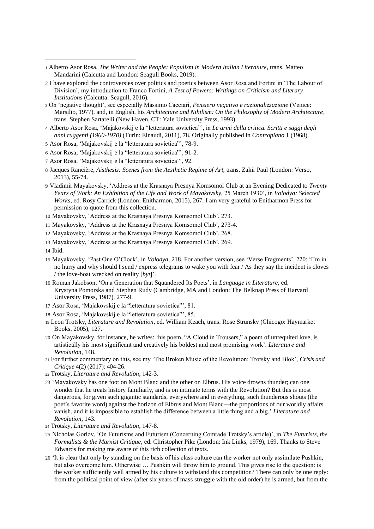- <sup>1</sup> Alberto Asor Rosa, *The Writer and the People: Populism in Modern Italian Literature*, trans. Matteo Mandarini (Calcutta and London: Seagull Books, 2019).
- 2 I have explored the controversies over politics and poetics between Asor Rosa and Fortini in 'The Labour of Division', my introduction to Franco Fortini, *A Test of Powers: Writings on Criticism and Literary Institutions* (Calcutta: Seagull, 2016).
- <sup>3</sup> On 'negative thought', see especially Massimo Cacciari, *Pensiero negativo e razionalizzazione* (Venice: Marsilio, 1977), and, in English, his *Architecture and Nihilism: On the Philosophy of Modern Architecture*, trans. Stephen Sartarelli (New Haven, CT: Yale University Press, 1993).
- 4 Alberto Asor Rosa, 'Majakovskij e la "letteratura sovietica"', in *Le armi della critica. Scritti e saggi degli anni ruggenti (1960-1970)* (Turin: Einaudi, 2011), 78. Originally published in *Contropiano* 1 (1968).
- 5 Asor Rosa, 'Majakovskij e la "letteratura sovietica"', 78-9.
- 6 Asor Rosa, 'Majakovskij e la "letteratura sovietica"', 91-2.
- 7 Asor Rosa, 'Majakovskij e la "letteratura sovietica"', 92.
- 8 Jacques Rancière, *Aisthesis: Scenes from the Aesthetic Regime of Art*, trans. Zakir Paul (London: Verso, 2013), 55-74.
- 9 Vladimir Mayakovsky, 'Address at the Krasnaya Presnya Komsomol Club at an Evening Dedicated to *Twenty Years of Work: An Exhibition of the Life and Work of Mayakovsky*, 25 March 1930', in *Volodya: Selected Works*, ed. Rosy Carrick (London: Enitharmon, 2015), 267. I am very grateful to Enitharmon Press for permission to quote from this collection.
- 10 Mayakovsky, 'Address at the Krasnaya Presnya Komsomol Club', 273.
- 11 Mayakovsky, 'Address at the Krasnaya Presnya Komsomol Club', 273-4.
- 12 Mayakovsky, 'Address at the Krasnaya Presnya Komsomol Club', 268.
- 13 Mayakovsky, 'Address at the Krasnaya Presnya Komsomol Club', 269.
- 14 Ibid.
- 15 Mayakovsky, 'Past One O'Clock', in *Volodya*, 218. For another version, see 'Verse Fragments', 220: 'I'm in no hurry and why should I send / express telegrams to wake you with fear / As they say the incident is cloves / the love-boat wrecked on reality [*byt*]'.
- 16 Roman Jakobson, 'On a Generation that Squandered Its Poets', in *Language in Literature*, ed. Krystyna Pomorska and Stephen Rudy (Cambridge, MA and London: The Belknap Press of Harvard University Press, 1987), 277-9.
- 17 Asor Rosa, 'Majakovskij e la "letteratura sovietica"', 81.
- 18 Asor Rosa, 'Majakovskij e la "letteratura sovietica"', 85.
- <sup>19</sup> Leon Trotsky, *Literature and Revolution*, ed. William Keach, trans. Rose Strunsky (Chicogo: Haymarket Books, 2005), 127.
- 20 On Mayakovsky, for instance, he writes: 'his poem, "A Cloud in Trousers," a poem of unrequited love, is artistically his most significant and creatively his boldest and most promising work'. *Literature and Revolution*, 148.
- <sup>21</sup> For further commentary on this, see my 'The Broken Music of the Revolution: Trotsky and Blok', *Crisis and Critique* 4(2) (2017): 404-26.
- <sup>22</sup> Trotsky, *Literature and Revolution*, 142-3.
- 23 'Mayakovsky has one foot on Mont Blanc and the other on Elbrus. His voice drowns thunder; can one wonder that he treats history familiarly, and is on intimate terms with the Revolution? But this is most dangerous, for given such gigantic standards, everywhere and in everything, such thunderous shouts (the poet's favorite word) against the horizon of Elbrus and Mont Blanc—the proportions of our worldly affairs vanish, and it is impossible to establish the difference between a little thing and a big.' *Literature and Revolution*, 143.
- <sup>24</sup> Trotsky, *Literature and Revolution*, 147-8.
- 25 Nicholas Gorlov, 'On Futurisms and Futurism (Concerning Comrade Trotsky's article)', in *The Futurists, the Formalists & the Marxist Critique*, ed. Christopher Pike (London: Ink Links, 1979), 169. Thanks to Steve Edwards for making me aware of this rich collection of texts.
- 26 'It is clear that only by standing on the basis of his class culture can the worker not only assimilate Pushkin, but also overcome him. Otherwise … Pushkin will throw him to ground. This gives rise to the question: is the worker sufficiently well armed by his culture to withstand this competition? There can only be one reply: from the political point of view (after six years of mass struggle with the old order) he is armed, but from the